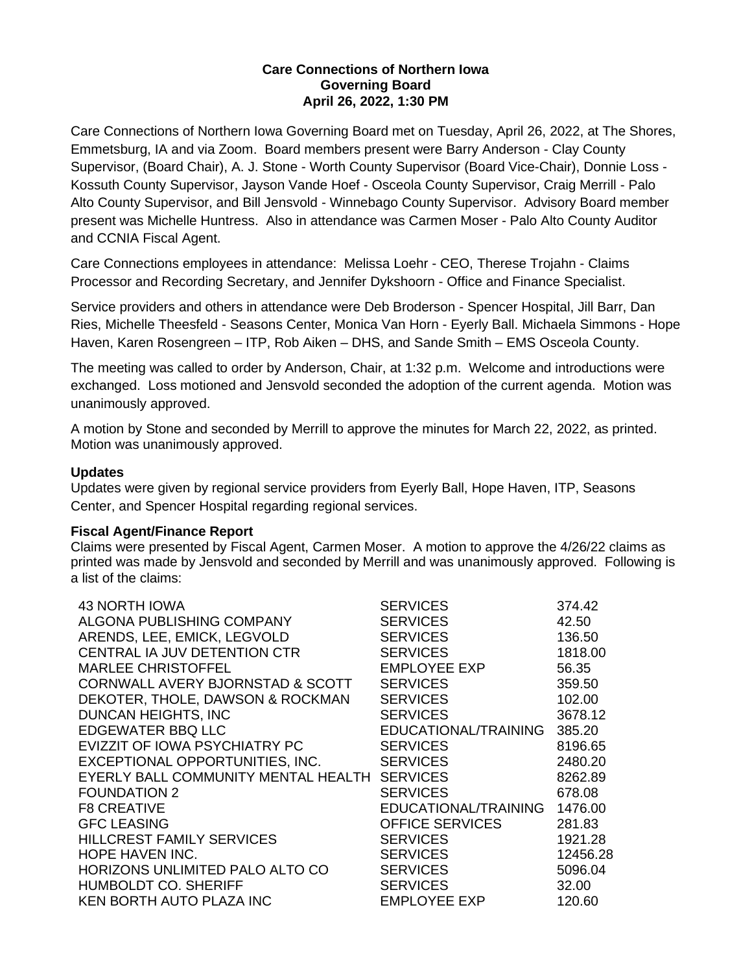## **Care Connections of Northern Iowa Governing Board April 26, 2022, 1:30 PM**

Care Connections of Northern Iowa Governing Board met on Tuesday, April 26, 2022, at The Shores, Emmetsburg, IA and via Zoom. Board members present were Barry Anderson - Clay County Supervisor, (Board Chair), A. J. Stone - Worth County Supervisor (Board Vice-Chair), Donnie Loss - Kossuth County Supervisor, Jayson Vande Hoef - Osceola County Supervisor, Craig Merrill - Palo Alto County Supervisor, and Bill Jensvold - Winnebago County Supervisor. Advisory Board member present was Michelle Huntress. Also in attendance was Carmen Moser - Palo Alto County Auditor and CCNIA Fiscal Agent.

Care Connections employees in attendance: Melissa Loehr - CEO, Therese Trojahn - Claims Processor and Recording Secretary, and Jennifer Dykshoorn - Office and Finance Specialist.

Service providers and others in attendance were Deb Broderson - Spencer Hospital, Jill Barr, Dan Ries, Michelle Theesfeld - Seasons Center, Monica Van Horn - Eyerly Ball. Michaela Simmons - Hope Haven, Karen Rosengreen – ITP, Rob Aiken – DHS, and Sande Smith – EMS Osceola County.

The meeting was called to order by Anderson, Chair, at 1:32 p.m. Welcome and introductions were exchanged. Loss motioned and Jensvold seconded the adoption of the current agenda. Motion was unanimously approved.

A motion by Stone and seconded by Merrill to approve the minutes for March 22, 2022, as printed. Motion was unanimously approved.

# **Updates**

Updates were given by regional service providers from Eyerly Ball, Hope Haven, ITP, Seasons Center, and Spencer Hospital regarding regional services.

# **Fiscal Agent/Finance Report**

Claims were presented by Fiscal Agent, Carmen Moser. A motion to approve the 4/26/22 claims as printed was made by Jensvold and seconded by Merrill and was unanimously approved. Following is a list of the claims:

| <b>43 NORTH IOWA</b>                | <b>SERVICES</b>        | 374.42   |
|-------------------------------------|------------------------|----------|
| ALGONA PUBLISHING COMPANY           | <b>SERVICES</b>        | 42.50    |
| ARENDS, LEE, EMICK, LEGVOLD         | <b>SERVICES</b>        | 136.50   |
| CENTRAL IA JUV DETENTION CTR        | <b>SERVICES</b>        | 1818.00  |
| <b>MARLEE CHRISTOFFEL</b>           | EMPLOYEE EXP           | 56.35    |
| CORNWALL AVERY BJORNSTAD & SCOTT    | <b>SERVICES</b>        | 359.50   |
| DEKOTER, THOLE, DAWSON & ROCKMAN    | <b>SERVICES</b>        | 102.00   |
| DUNCAN HEIGHTS, INC                 | <b>SERVICES</b>        | 3678.12  |
| EDGEWATER BBQ LLC                   | EDUCATIONAL/TRAINING   | 385.20   |
| EVIZZIT OF IOWA PSYCHIATRY PC       | <b>SERVICES</b>        | 8196.65  |
| EXCEPTIONAL OPPORTUNITIES, INC.     | <b>SERVICES</b>        | 2480.20  |
| EYERLY BALL COMMUNITY MENTAL HEALTH | <b>SERVICES</b>        | 8262.89  |
| <b>FOUNDATION 2</b>                 | <b>SERVICES</b>        | 678.08   |
| <b>F8 CREATIVE</b>                  | EDUCATIONAL/TRAINING   | 1476.00  |
| <b>GFC LEASING</b>                  | <b>OFFICE SERVICES</b> | 281.83   |
| <b>HILLCREST FAMILY SERVICES</b>    | <b>SERVICES</b>        | 1921.28  |
| <b>HOPE HAVEN INC.</b>              | <b>SERVICES</b>        | 12456.28 |
| HORIZONS UNLIMITED PALO ALTO CO     | <b>SERVICES</b>        | 5096.04  |
| <b>HUMBOLDT CO. SHERIFF</b>         | <b>SERVICES</b>        | 32.00    |
| <b>KEN BORTH AUTO PLAZA INC</b>     | EMPLOYEE EXP           | 120.60   |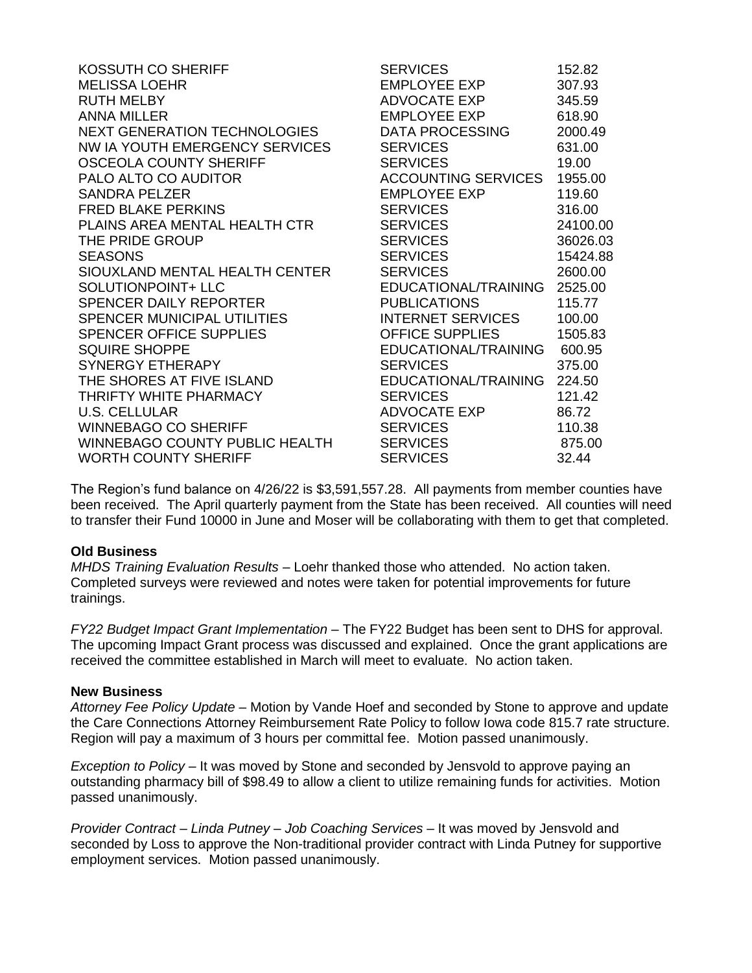| KOSSUTH CO SHERIFF                  | <b>SERVICES</b>            | 152.82   |
|-------------------------------------|----------------------------|----------|
| <b>MELISSA LOEHR</b>                | <b>EMPLOYEE EXP</b>        | 307.93   |
| <b>RUTH MELBY</b>                   | ADVOCATE EXP               | 345.59   |
| <b>ANNA MILLER</b>                  | <b>EMPLOYEE EXP</b>        | 618.90   |
| <b>NEXT GENERATION TECHNOLOGIES</b> | DATA PROCESSING            | 2000.49  |
| NW IA YOUTH EMERGENCY SERVICES      | <b>SERVICES</b>            | 631.00   |
| <b>OSCEOLA COUNTY SHERIFF</b>       | <b>SERVICES</b>            | 19.00    |
| PALO ALTO CO AUDITOR                | <b>ACCOUNTING SERVICES</b> | 1955.00  |
| <b>SANDRA PELZER</b>                | <b>EMPLOYEE EXP</b>        | 119.60   |
| <b>FRED BLAKE PERKINS</b>           | <b>SERVICES</b>            | 316.00   |
| PLAINS AREA MENTAL HEALTH CTR       | <b>SERVICES</b>            | 24100.00 |
| THE PRIDE GROUP                     | <b>SERVICES</b>            | 36026.03 |
| <b>SEASONS</b>                      | <b>SERVICES</b>            | 15424.88 |
| SIOUXLAND MENTAL HEALTH CENTER      | <b>SERVICES</b>            | 2600.00  |
| SOLUTIONPOINT+ LLC                  | EDUCATIONAL/TRAINING       | 2525.00  |
| SPENCER DAILY REPORTER              | <b>PUBLICATIONS</b>        | 115.77   |
| SPENCER MUNICIPAL UTILITIES         | <b>INTERNET SERVICES</b>   | 100.00   |
| <b>SPENCER OFFICE SUPPLIES</b>      | <b>OFFICE SUPPLIES</b>     | 1505.83  |
| <b>SQUIRE SHOPPE</b>                | EDUCATIONAL/TRAINING       | 600.95   |
| <b>SYNERGY ETHERAPY</b>             | <b>SERVICES</b>            | 375.00   |
| THE SHORES AT FIVE ISLAND           | EDUCATIONAL/TRAINING       | 224.50   |
| THRIFTY WHITE PHARMACY              | <b>SERVICES</b>            | 121.42   |
| <b>U.S. CELLULAR</b>                | ADVOCATE EXP               | 86.72    |
| <b>WINNEBAGO CO SHERIFF</b>         | <b>SERVICES</b>            | 110.38   |
| WINNEBAGO COUNTY PUBLIC HEALTH      | <b>SERVICES</b>            | 875.00   |
| <b>WORTH COUNTY SHERIFF</b>         | <b>SERVICES</b>            | 32.44    |

The Region's fund balance on 4/26/22 is \$3,591,557.28. All payments from member counties have been received. The April quarterly payment from the State has been received. All counties will need to transfer their Fund 10000 in June and Moser will be collaborating with them to get that completed.

### **Old Business**

*MHDS Training Evaluation Results* – Loehr thanked those who attended. No action taken. Completed surveys were reviewed and notes were taken for potential improvements for future trainings.

*FY22 Budget Impact Grant Implementation* – The FY22 Budget has been sent to DHS for approval. The upcoming Impact Grant process was discussed and explained. Once the grant applications are received the committee established in March will meet to evaluate. No action taken.

### **New Business**

*Attorney Fee Policy Update* – Motion by Vande Hoef and seconded by Stone to approve and update the Care Connections Attorney Reimbursement Rate Policy to follow Iowa code 815.7 rate structure. Region will pay a maximum of 3 hours per committal fee. Motion passed unanimously.

*Exception to Policy* – It was moved by Stone and seconded by Jensvold to approve paying an outstanding pharmacy bill of \$98.49 to allow a client to utilize remaining funds for activities. Motion passed unanimously.

*Provider Contract – Linda Putney – Job Coaching Services* – It was moved by Jensvold and seconded by Loss to approve the Non-traditional provider contract with Linda Putney for supportive employment services. Motion passed unanimously.